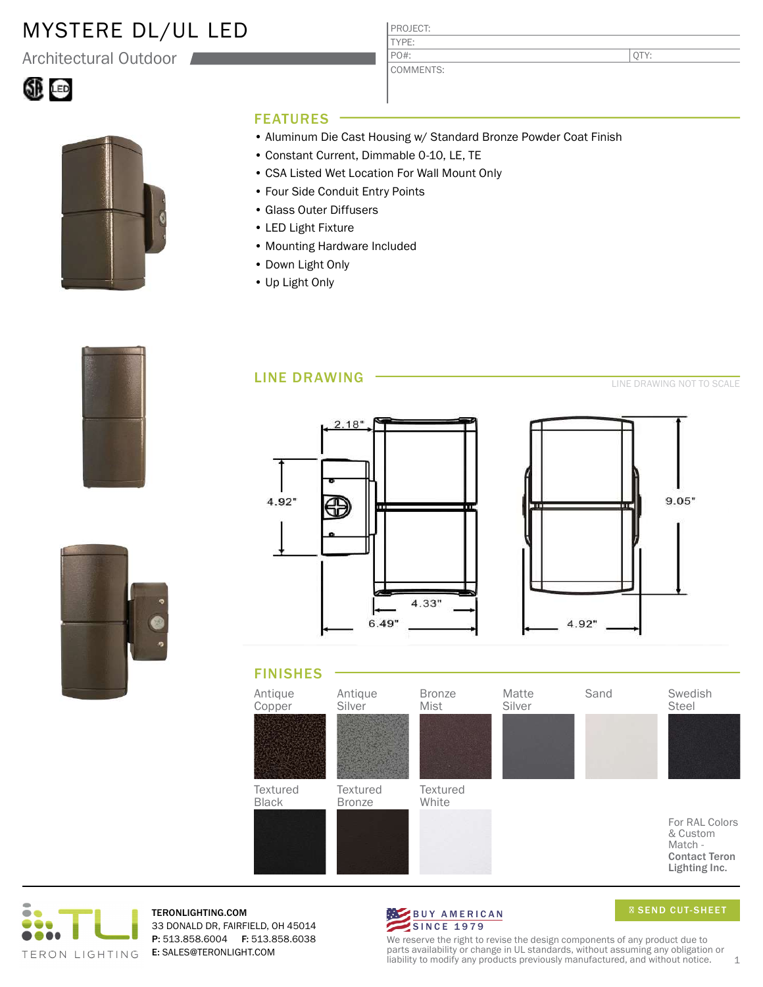## MYSTERE DL/UL LED

Architectural Outdoor





#### FEATURES

• Aluminum Die Cast Housing w/ Standard Bronze Powder Coat Finish

PROJECT: TYPE:

PO#:

COMMENTS:

- Constant Current, Dimmable 0-10, LE, TE
- CSA Listed Wet Location For Wall Mount Only
- Four Side Conduit Entry Points
- Glass Outer Diffusers
- LED Light Fixture
- Mounting Hardware Included
- Down Light Only
- Up Light Only











TERONLIGHTING.COM 33 DONALD DR, FAIRFIELD, OH 45014 P: 513.858.6004 F: 513.858.6038 E: SALES@TERONLIGHT.COM



We reserve the right to revise the design components of any product due to parts availability or change in UL standards, without assuming any obligation or liability to modify any products previously manufactured, and without notice. 1

QTY: